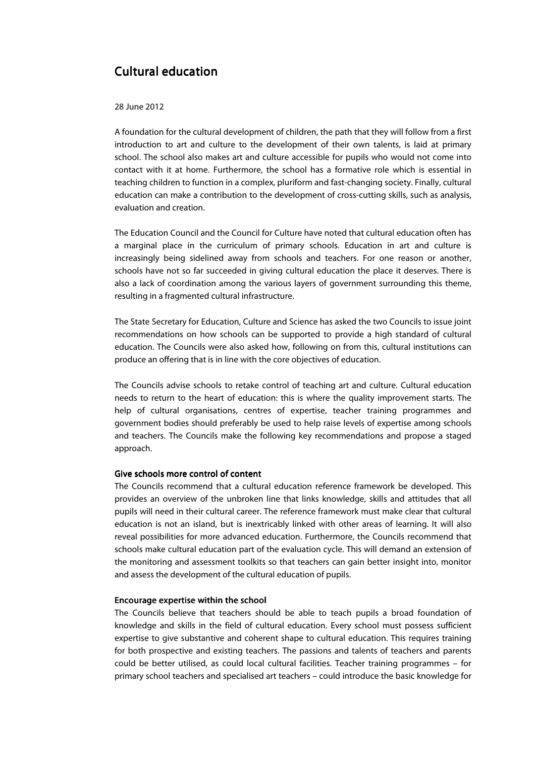## Cultural education Cultural education

28 June 2012

A foundation for the cultural development of children, the path that they will follow from a first introduction to art and culture to the development of their own talents, is laid at primary school. The school also makes art and culture accessible for pupils who would not come into contact with it at home. Furthermore, the school has a formative role which is essential in teaching children to function in a complex, pluriform and fast-changing society. Finally, cultural education can make a contribution to the development of cross-cutting skills, such as analysis, evaluation and creation.

The Education Council and the Council for Culture have noted that cultural education often has a marginal place in the curriculum of primary schools. Education in art and culture is increasingly being sidelined away from schools and teachers. For one reason or another, schools have not so far succeeded in giving cultural education the place it deserves. There is also a lack of coordination among the various layers of government surrounding this theme, resulting in a fragmented cultural infrastructure.

The State Secretary for Education, Culture and Science has asked the two Councils to issue joint recommendations on how schools can be supported to provide a high standard of cultural education. The Councils were also asked how, following on from this, cultural institutions can produce an offering that is in line with the core objectives of education.

The Councils advise schools to retake control of teaching art and culture. Cultural education needs to return to the heart of education: this is where the quality improvement starts. The help of cultural organisations, centres of expertise, teacher training programmes and government bodies should preferably be used to help raise levels of expertise among schools and teachers. The Councils make the following key recommendations and propose a staged approach.

## Give schools more control of content

The Councils recommend that a cultural education reference framework be developed. This provides an overview of the unbroken line that links knowledge, skills and attitudes that all pupils will need in their cultural career. The reference framework must make clear that cultural education is not an island, but is inextricably linked with other areas of learning. It will also reveal possibilities for more advanced education. Furthermore, the Councils recommend that schools make cultural education part of the evaluation cycle. This will demand an extension of the monitoring and assessment toolkits so that teachers can gain better insight into, monitor and assess the development of the cultural education of pupils.

## Encourage expertise within the school Encourage the school

The Councils believe that teachers should be able to teach pupils a broad foundation of knowledge and skills in the field of cultural education. Every school must possess sufficient expertise to give substantive and coherent shape to cultural education. This requires training for both prospective and existing teachers. The passions and talents of teachers and parents could be better utilised, as could local cultural facilities. Teacher training programmes – for primary school teachers and specialised art teachers – could introduce the basic knowledge for